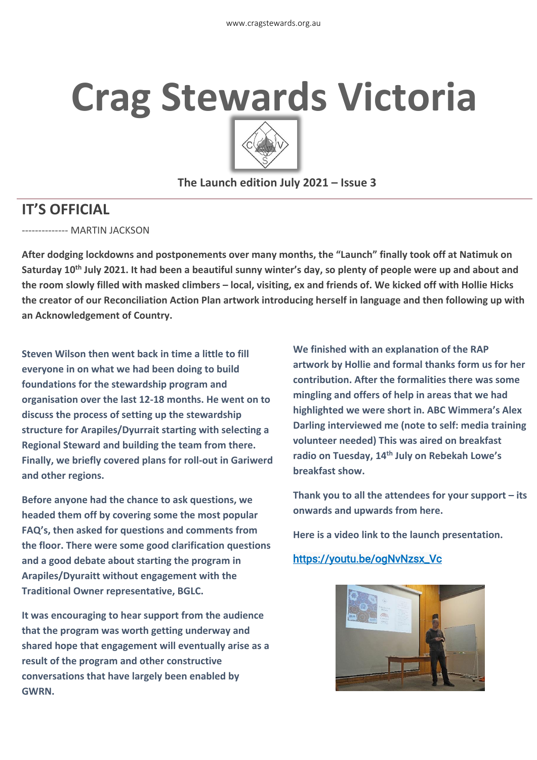# **Crag Stewards Victoria**



#### **The Launch edition July 2021 – Issue 3**

# **IT'S OFFICIAL**

-------------- MARTIN JACKSON

**After dodging lockdowns and postponements over many months, the "Launch" finally took off at Natimuk on Saturday 10th July 2021. It had been a beautiful sunny winter's day, so plenty of people were up and about and the room slowly filled with masked climbers – local, visiting, ex and friends of. We kicked off with Hollie Hicks the creator of our Reconciliation Action Plan artwork introducing herself in language and then following up with an Acknowledgement of Country.**

**Steven Wilson then went back in time a little to fill everyone in on what we had been doing to build foundations for the stewardship program and organisation over the last 12-18 months. He went on to discuss the process of setting up the stewardship structure for Arapiles/Dyurrait starting with selecting a Regional Steward and building the team from there. Finally, we briefly covered plans for roll-out in Gariwerd and other regions.**

**Before anyone had the chance to ask questions, we headed them off by covering some the most popular FAQ's, then asked for questions and comments from the floor. There were some good clarification questions and a good debate about starting the program in Arapiles/Dyuraitt without engagement with the Traditional Owner representative, BGLC.**

**It was encouraging to hear support from the audience that the program was worth getting underway and shared hope that engagement will eventually arise as a result of the program and other constructive conversations that have largely been enabled by GWRN.**

**We finished with an explanation of the RAP artwork by Hollie and formal thanks form us for her contribution. After the formalities there was some mingling and offers of help in areas that we had highlighted we were short in. ABC Wimmera's Alex Darling interviewed me (note to self: media training volunteer needed) This was aired on breakfast radio on Tuesday, 14th July on Rebekah Lowe's breakfast show.** 

**Thank you to all the attendees for your support – its onwards and upwards from here.**

**Here is a video link to the launch presentation.** 

#### [https://youtu.be/ogNvNzsx\\_Vc](https://youtu.be/ogNvNzsx_Vc)

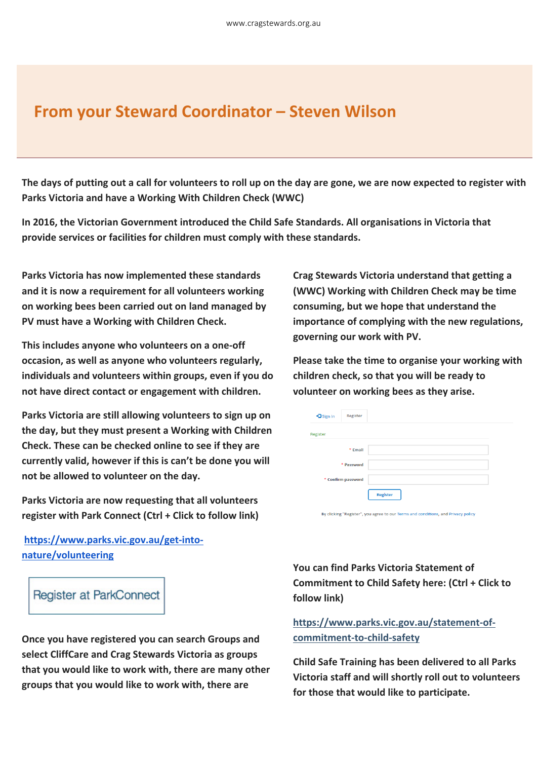# **From your Steward Coordinator – Steven Wilson**

**The days of putting out a call for volunteers to roll up on the day are gone, we are now expected to register with Parks Victoria and have a Working With Children Check (WWC)**

**In 2016, the Victorian Government introduced the Child Safe Standards. All organisations in Victoria that provide services or facilities for children must comply with these standards.**

**Parks Victoria has now implemented these standards and it is now a requirement for all volunteers working on working bees been carried out on land managed by PV must have a Working with Children Check.**

**This includes anyone who volunteers on a one-off occasion, as well as anyone who volunteers regularly, individuals and volunteers within groups, even if you do not have direct contact or engagement with children.**

**Parks Victoria are still allowing volunteers to sign up on the day, but they must present a Working with Children Check. These can be checked online to see if they are currently valid, however if this is can't be done you will not be allowed to volunteer on the day.**

**Parks Victoria are now requesting that all volunteers register with Park Connect (Ctrl + Click to follow link)**

**[https://www.parks.vic.gov.au/get-into](https://volunteering.cmail20.com/t/r-l-tltdldll-ouyuhkkjil-y/)[nature/volunteering](https://volunteering.cmail20.com/t/r-l-tltdldll-ouyuhkkjil-y/)**

Register at ParkConnect

**Once you have registered you can search Groups and select CliffCare and Crag Stewards Victoria as groups that you would like to work with, there are many other groups that you would like to work with, there are** 

**Crag Stewards Victoria understand that getting a (WWC) Working with Children Check may be time consuming, but we hope that understand the importance of complying with the new regulations, governing our work with PV.**

**Please take the time to organise your working with children check, so that you will be ready to volunteer on working bees as they arise.**

| +3 Sign in         | Register |                 |
|--------------------|----------|-----------------|
| Register           |          |                 |
|                    | * Email  |                 |
| * Password         |          |                 |
| * Confirm password |          |                 |
|                    |          | <b>Register</b> |

By clicking "Register", you agree to our Terms and conditions, and Privacy policy

**You can find Parks Victoria Statement of Commitment to Child Safety here: (Ctrl + Click to follow link)**

**[https://www.parks.vic.gov.au/statement-of](https://volunteering.cmail20.com/t/r-l-tltdldll-ouyuhkkjil-t/)[commitment-to-child-safety](https://volunteering.cmail20.com/t/r-l-tltdldll-ouyuhkkjil-t/)**

**Child Safe Training has been delivered to all Parks Victoria staff and will shortly roll out to volunteers for those that would like to participate.**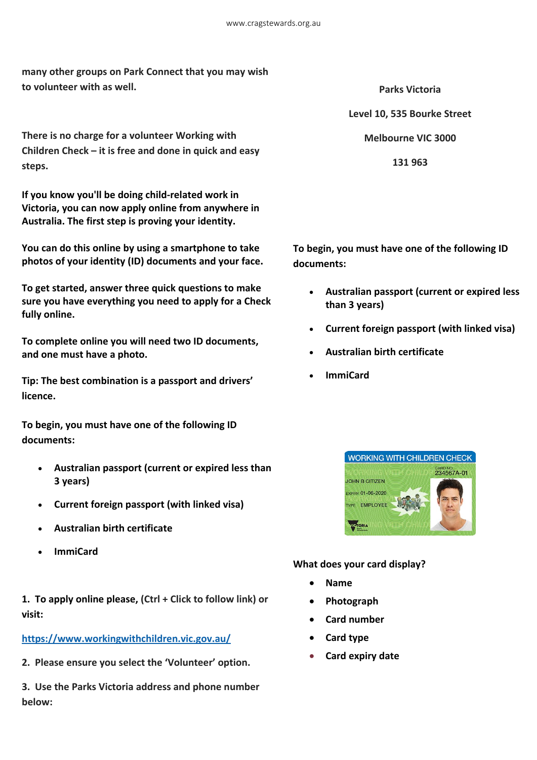**many other groups on Park Connect that you may wish to volunteer with as well.**

**There is no charge for a volunteer Working with Children Check – it is free and done in quick and easy steps.**

**If you know you'll be doing child-related work in Victoria, you can now apply online from anywhere in Australia. The first step is proving your identity.**

**You can do this online by using a smartphone to take photos of your identity (ID) documents and your face.**

**To get started, answer three quick questions to make sure you have everything you need to apply for a Check fully online.**

**To complete online you will need two ID documents, and one must have a photo.**

**Tip: The best combination is a passport and drivers' licence.**

**To begin, you must have one of the following ID documents:**

- **Australian passport (current or expired less than 3 years)**
- **Current foreign passport (with linked visa)**
- **Australian birth certificate**
- **ImmiCard**

**1. To apply online please, (Ctrl + Click to follow link) or visit:**

#### **[https://www.workingwithchildren.vic.gov.au/](https://volunteering.cmail20.com/t/r-l-tltdldll-ouyuhkkjil-j/)**

**2. Please ensure you select the 'Volunteer' option.**

**3. Use the Parks Victoria address and phone number below:**

**Parks Victoria Level 10, 535 Bourke Street Melbourne VIC 3000 131 963**

**To begin, you must have one of the following ID documents:**

- **Australian passport (current or expired less than 3 years)**
- **Current foreign passport (with linked visa)**
- **Australian birth certificate**
- **ImmiCard**



#### **What does your card display?**

- **Name**
- **Photograph**
- **Card number**
- **Card type**
- **Card expiry date**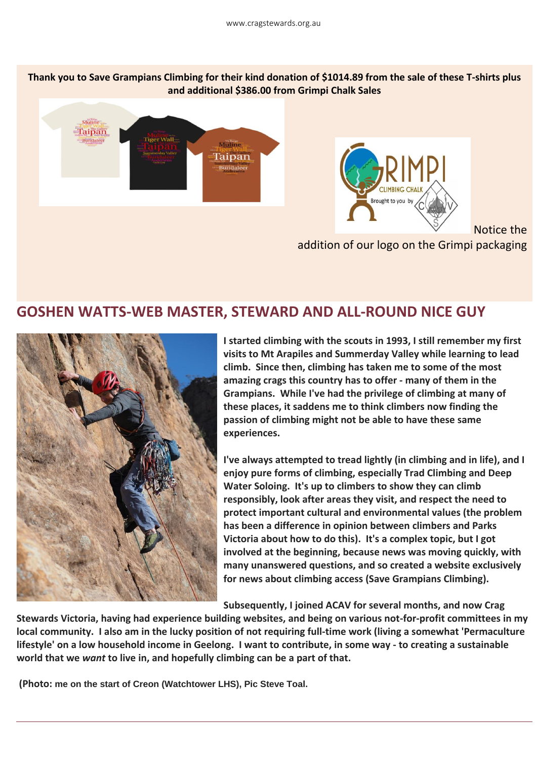**Thank you to Save Grampians Climbing for their kind donation of \$1014.89 from the sale of these T-shirts plus and additional \$386.00 from Grimpi Chalk Sales**





Notice the

addition of our logo on the Grimpi packaging

## **GOSHEN WATTS-WEB MASTER, STEWARD AND ALL-ROUND NICE GUY**



**I started climbing with the scouts in 1993, I still remember my first visits to Mt Arapiles and Summerday Valley while learning to lead climb. Since then, climbing has taken me to some of the most amazing crags this country has to offer - many of them in the Grampians. While I've had the privilege of climbing at many of these places, it saddens me to think climbers now finding the passion of climbing might not be able to have these same experiences.**

**I've always attempted to tread lightly (in climbing and in life), and I enjoy pure forms of climbing, especially Trad Climbing and Deep Water Soloing. It's up to climbers to show they can climb responsibly, look after areas they visit, and respect the need to protect important cultural and environmental values (the problem has been a difference in opinion between climbers and Parks Victoria about how to do this). It's a complex topic, but I got involved at the beginning, because news was moving quickly, with many unanswered questions, and so created a website exclusively for news about climbing access (Save Grampians Climbing).**

**Subsequently, I joined ACAV for several months, and now Crag** 

**Stewards Victoria, having had experience building websites, and being on various not-for-profit committees in my local community. I also am in the lucky position of not requiring full-time work (living a somewhat 'Permaculture lifestyle' on a low household income in Geelong. I want to contribute, in some way - to creating a sustainable world that we** *want* **to live in, and hopefully climbing can be a part of that.**

**(Photo: me on the start of Creon (Watchtower LHS), Pic Steve Toal.**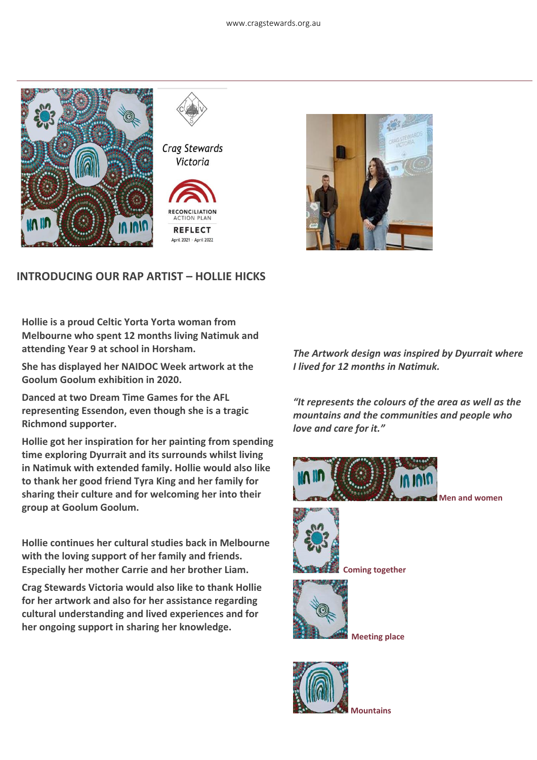



Crag Stewards Victoria





#### **INTRODUCING OUR RAP ARTIST – HOLLIE HICKS**

**Hollie is a proud Celtic Yorta Yorta woman from Melbourne who spent 12 months living Natimuk and attending Year 9 at school in Horsham.**

**She has displayed her NAIDOC Week artwork at the Goolum Goolum exhibition in 2020.**

**Danced at two Dream Time Games for the AFL representing Essendon, even though she is a tragic Richmond supporter.**

**Hollie got her inspiration for her painting from spending time exploring Dyurrait and its surrounds whilst living in Natimuk with extended family. Hollie would also like to thank her good friend Tyra King and her family for sharing their culture and for welcoming her into their group at Goolum Goolum.** 

**Hollie continues her cultural studies back in Melbourne with the loving support of her family and friends. Especially her mother Carrie and her brother Liam.** 

**Crag Stewards Victoria would also like to thank Hollie for her artwork and also for her assistance regarding cultural understanding and lived experiences and for her ongoing support in sharing her knowledge.**

*The Artwork design was inspired by Dyurrait where I lived for 12 months in Natimuk.*

*"It represents the colours of the area as well as the mountains and the communities and people who love and care for it."*





 **Coming together**



 **Meeting place**



**Mountains**